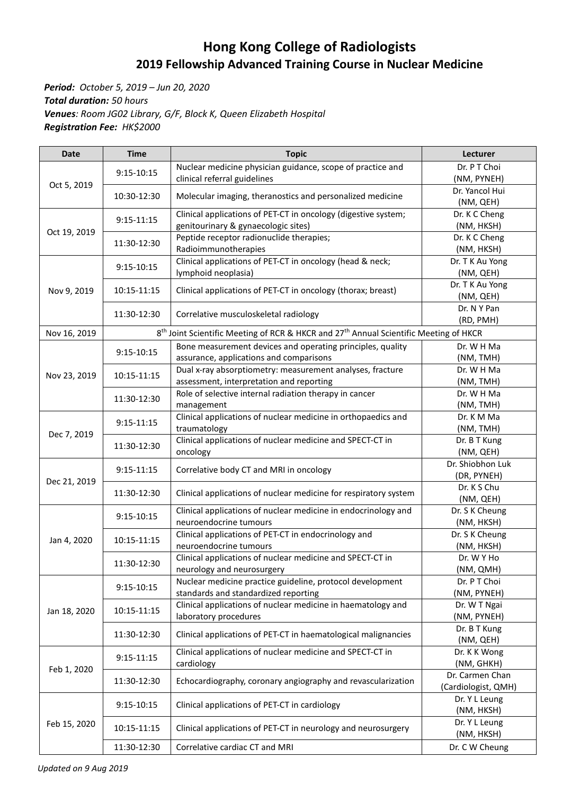## **Hong Kong College of Radiologists 2019 Fellowship Advanced Training Course in Nuclear Medicine**

*Period: October 5, 2019 – Jun 20, 2020 Total duration: 50 hours Venues: Room JG02 Library, G/F, Block K, Queen Elizabeth Hospital Registration Fee: HK\$2000*

| <b>Date</b>  | <b>Time</b>    | <b>Topic</b>                                                                                                  | Lecturer                               |
|--------------|----------------|---------------------------------------------------------------------------------------------------------------|----------------------------------------|
| Oct 5, 2019  | 9:15-10:15     | Nuclear medicine physician guidance, scope of practice and<br>clinical referral guidelines                    | Dr. P T Choi<br>(NM, PYNEH)            |
|              | 10:30-12:30    | Molecular imaging, theranostics and personalized medicine                                                     | Dr. Yancol Hui<br>(NM, QEH)            |
| Oct 19, 2019 | $9:15-11:15$   | Clinical applications of PET-CT in oncology (digestive system;<br>genitourinary & gynaecologic sites)         | Dr. K C Cheng<br>(NM, HKSH)            |
|              | 11:30-12:30    | Peptide receptor radionuclide therapies;<br>Radioimmunotherapies                                              | Dr. K C Cheng<br>(NM, HKSH)            |
| Nov 9, 2019  | 9:15-10:15     | Clinical applications of PET-CT in oncology (head & neck;<br>lymphoid neoplasia)                              | Dr. T K Au Yong<br>(NM, QEH)           |
|              | 10:15-11:15    | Clinical applications of PET-CT in oncology (thorax; breast)                                                  | Dr. T K Au Yong<br>(NM, QEH)           |
|              | 11:30-12:30    | Correlative musculoskeletal radiology                                                                         | Dr. N Y Pan<br>(RD, PMH)               |
| Nov 16, 2019 |                | 8 <sup>th</sup> Joint Scientific Meeting of RCR & HKCR and 27 <sup>th</sup> Annual Scientific Meeting of HKCR |                                        |
|              |                | Bone measurement devices and operating principles, quality                                                    | Dr. W H Ma                             |
|              | $9:15 - 10:15$ | assurance, applications and comparisons                                                                       | (NM, TMH)                              |
| Nov 23, 2019 | 10:15-11:15    | Dual x-ray absorptiometry: measurement analyses, fracture                                                     | Dr. W H Ma                             |
|              |                | assessment, interpretation and reporting                                                                      | (NM, TMH)                              |
|              | 11:30-12:30    | Role of selective internal radiation therapy in cancer<br>management                                          | Dr. W H Ma<br>(NM, TMH)                |
|              | 9:15-11:15     | Clinical applications of nuclear medicine in orthopaedics and                                                 | Dr. K M Ma                             |
|              |                | traumatology                                                                                                  | (NM, TMH)                              |
| Dec 7, 2019  | 11:30-12:30    | Clinical applications of nuclear medicine and SPECT-CT in                                                     | Dr. B T Kung                           |
|              |                | oncology                                                                                                      | (NM, QEH)                              |
|              | $9:15-11:15$   | Correlative body CT and MRI in oncology                                                                       | Dr. Shiobhon Luk                       |
| Dec 21, 2019 |                |                                                                                                               | (DR, PYNEH)                            |
|              | 11:30-12:30    | Clinical applications of nuclear medicine for respiratory system                                              | Dr. K S Chu<br>(NM, QEH)               |
| Jan 4, 2020  | 9:15-10:15     | Clinical applications of nuclear medicine in endocrinology and<br>neuroendocrine tumours                      | Dr. S K Cheung<br>(NM, HKSH)           |
|              | 10:15-11:15    | Clinical applications of PET-CT in endocrinology and<br>neuroendocrine tumours                                | Dr. S K Cheung<br>(NM, HKSH)           |
|              | 11:30-12:30    | Clinical applications of nuclear medicine and SPECT-CT in<br>neurology and neurosurgery                       | Dr. W Y Ho<br>(NM, QMH)                |
|              | $9:15 - 10:15$ | Nuclear medicine practice guideline, protocol development                                                     | Dr. P T Choi                           |
| Jan 18, 2020 |                | standards and standardized reporting                                                                          | (NM, PYNEH)                            |
|              | 10:15-11:15    | Clinical applications of nuclear medicine in haematology and                                                  | Dr. W T Ngai                           |
|              |                | laboratory procedures                                                                                         | (NM, PYNEH)                            |
|              | 11:30-12:30    | Clinical applications of PET-CT in haematological malignancies                                                | Dr. B T Kung<br>(NM, QEH)              |
| Feb 1, 2020  | $9:15-11:15$   | Clinical applications of nuclear medicine and SPECT-CT in<br>cardiology                                       | Dr. K K Wong<br>(NM, GHKH)             |
|              | 11:30-12:30    | Echocardiography, coronary angiography and revascularization                                                  | Dr. Carmen Chan<br>(Cardiologist, QMH) |
| Feb 15, 2020 | 9:15-10:15     | Clinical applications of PET-CT in cardiology                                                                 | Dr. Y L Leung<br>(NM, HKSH)            |
|              | 10:15-11:15    | Clinical applications of PET-CT in neurology and neurosurgery                                                 | Dr. Y L Leung<br>(NM, HKSH)            |
|              | 11:30-12:30    | Correlative cardiac CT and MRI                                                                                | Dr. C W Cheung                         |